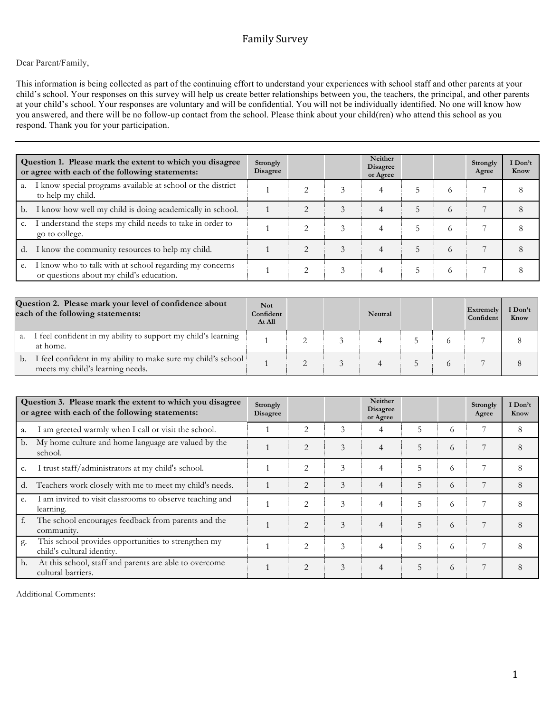# Family Survey

## Dear Parent/Family,

This information is being collected as part of the continuing effort to understand your experiences with school staff and other parents at your child's school. Your responses on this survey will help us create better relationships between you, the teachers, the principal, and other parents at your child's school. Your responses are voluntary and will be confidential. You will not be individually identified. No one will know how you answered, and there will be no follow-up contact from the school. Please think about your child(ren) who attend this school as you respond. Thank you for your participation.

|    | Question 1. Please mark the extent to which you disagree<br>or agree with each of the following statements: |  |  | Neither<br><b>Disagree</b><br>or Agree |   |          | Strongly<br>Agree | I Don't<br>Know |
|----|-------------------------------------------------------------------------------------------------------------|--|--|----------------------------------------|---|----------|-------------------|-----------------|
| a. | I know special programs available at school or the district<br>to help my child.                            |  |  | 4                                      |   | $^{(1)}$ |                   |                 |
| b. | I know how well my child is doing academically in school.                                                   |  |  |                                        | 5 | $\Omega$ |                   |                 |
| c. | I understand the steps my child needs to take in order to<br>go to college.                                 |  |  |                                        | 5 | 6        |                   |                 |
| d. | I know the community resources to help my child.                                                            |  |  |                                        | 5 | 6        |                   |                 |
|    | e. I know who to talk with at school regarding my concerns<br>or questions about my child's education.      |  |  |                                        |   | $\Omega$ |                   |                 |

| Question 2. Please mark your level of confidence about<br>each of the following statements: |                                                                                                   | <b>Not</b><br>Confident<br>At All |  | Neutral |  | Extremely<br>Confident | I Don't<br>Know |
|---------------------------------------------------------------------------------------------|---------------------------------------------------------------------------------------------------|-----------------------------------|--|---------|--|------------------------|-----------------|
| a.                                                                                          | I feel confident in my ability to support my child's learning<br>at home.                         |                                   |  |         |  |                        |                 |
| b.                                                                                          | I feel confident in my ability to make sure my child's school<br>meets my child's learning needs. |                                   |  |         |  |                        |                 |

|    | Question 3. Please mark the extent to which you disagree<br>or agree with each of the following statements: |  |                |   | Neither<br><b>Disagree</b><br>or Agree |   |   | Strongly<br>Agree | I Don't<br>Know |
|----|-------------------------------------------------------------------------------------------------------------|--|----------------|---|----------------------------------------|---|---|-------------------|-----------------|
| a. | I am greeted warmly when I call or visit the school.                                                        |  | $\overline{2}$ | 3 | 4                                      | 5 | 6 |                   | 8               |
| b. | My home culture and home language are valued by the<br>school.                                              |  | $\overline{2}$ | 3 | $\overline{4}$                         | 5 | 6 |                   | 8               |
| c. | I trust staff/administrators at my child's school.                                                          |  | $\overline{2}$ | 3 | 4                                      | 5 | 6 |                   | 8               |
| d. | Teachers work closely with me to meet my child's needs.                                                     |  | $\overline{2}$ | 3 | 4                                      | 5 | 6 |                   | 8               |
| e. | I am invited to visit classrooms to observe teaching and<br>learning.                                       |  | $\overline{2}$ | 3 | $\overline{4}$                         | 5 | 6 |                   | 8               |
| f. | The school encourages feedback from parents and the<br>community.                                           |  | $\mathfrak{D}$ | 3 | 4                                      | 5 | 6 |                   | 8               |
| g. | This school provides opportunities to strengthen my<br>child's cultural identity.                           |  | $\overline{2}$ | 3 | $\overline{4}$                         | 5 | 6 |                   | 8               |
| h. | At this school, staff and parents are able to overcome<br>cultural barriers.                                |  | $\overline{2}$ | 3 | 4                                      | 5 | 6 |                   | 8               |

Additional Comments: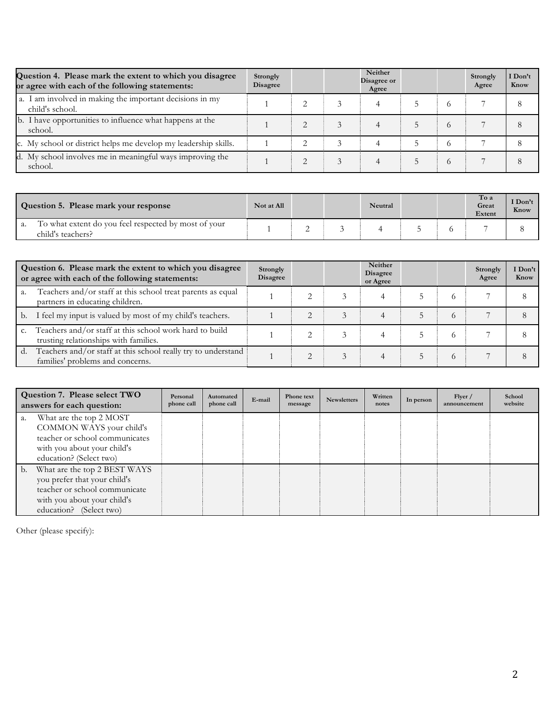| Question 4. Please mark the extent to which you disagree<br>or agree with each of the following statements: | Strongly<br><b>Disagree</b> |  | Neither<br>Disagree or<br>Agree |          | Strongly<br>Agree | Don't<br>Know |
|-------------------------------------------------------------------------------------------------------------|-----------------------------|--|---------------------------------|----------|-------------------|---------------|
| a. I am involved in making the important decisions in my<br>child's school.                                 |                             |  |                                 | $\Omega$ |                   |               |
| b. I have opportunities to influence what happens at the<br>school.                                         |                             |  |                                 | $\Omega$ |                   |               |
| c. My school or district helps me develop my leadership skills.                                             |                             |  |                                 |          |                   |               |
| d. My school involves me in meaningful ways improving the<br>school.                                        |                             |  |                                 | $\circ$  |                   |               |

| Question 5. Please mark your response                                     | Not at All |  | Neutral |  | To a<br>Great<br>Extent | I Don't<br>Know |
|---------------------------------------------------------------------------|------------|--|---------|--|-------------------------|-----------------|
| To what extent do you feel respected by most of your<br>child's teachers? |            |  |         |  |                         |                 |

|                | Question 6. Please mark the extent to which you disagree<br>or agree with each of the following statements: |  |  | Neither<br><b>Disagree</b><br>or Agree |          | Strongly<br>Agree | I Don't<br>Know |
|----------------|-------------------------------------------------------------------------------------------------------------|--|--|----------------------------------------|----------|-------------------|-----------------|
| a.             | Teachers and/or staff at this school treat parents as equal<br>partners in educating children.              |  |  |                                        | $\Omega$ |                   |                 |
|                | b. I feel my input is valued by most of my child's teachers.                                                |  |  |                                        | $\Omega$ |                   |                 |
| C <sub>1</sub> | Teachers and/or staff at this school work hard to build<br>trusting relationships with families.            |  |  |                                        |          |                   |                 |
| d.             | Teachers and/or staff at this school really try to understand<br>families' problems and concerns.           |  |  |                                        | $\Omega$ |                   |                 |

|                | Question 7. Please select TWO<br>answers for each question:                                                                                             | Personal<br>phone call | Automated<br>phone call | E-mail | Phone text<br>message | <b>Newsletters</b> | Written<br>notes | In person | Flyer /<br>announcement | School<br>website |
|----------------|---------------------------------------------------------------------------------------------------------------------------------------------------------|------------------------|-------------------------|--------|-----------------------|--------------------|------------------|-----------|-------------------------|-------------------|
| a.             | What are the top 2 MOST<br>COMMON WAYS your child's<br>teacher or school communicates<br>with you about your child's<br>education? (Select two)         |                        |                         |        |                       |                    |                  |           |                         |                   |
| $\mathbf{b}$ . | What are the top 2 BEST WAYS<br>you prefer that your child's<br>teacher or school communicate<br>with you about your child's<br>education? (Select two) |                        |                         |        |                       |                    |                  |           |                         |                   |

Other (please specify):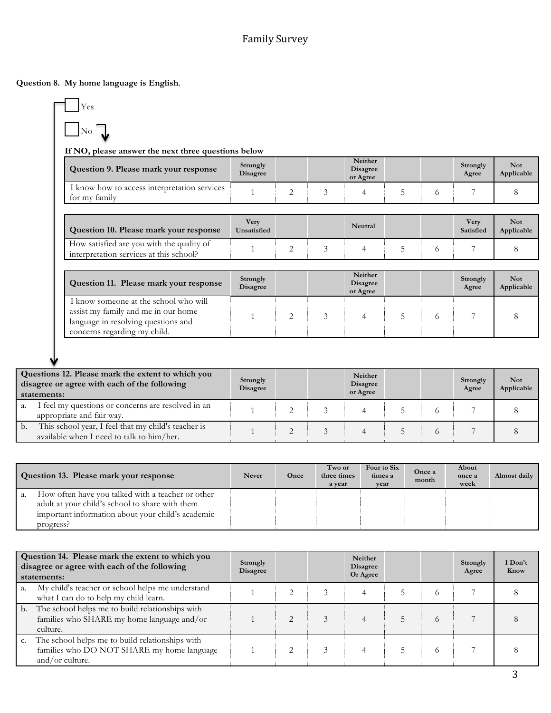**Question 8. My home language is English***.* 

| r es           |  |
|----------------|--|
| $\overline{O}$ |  |

 $L$ 

**If NO, please answer the next three questions below**

| Question 9. Please mark your response                         | Strongly<br><b>Disagree</b> |           | Neither<br>Disagree<br>or Agree |  | Strongly<br>Agree | Not<br>Applicable |
|---------------------------------------------------------------|-----------------------------|-----------|---------------------------------|--|-------------------|-------------------|
| l know how to access interpretation services<br>for my family |                             | <b>__</b> |                                 |  |                   |                   |

| Question 10. Please mark your response                                               | Verv<br>Unsatisfied |  | Neutral |  | Very<br>Satisfied | Not<br>Applicable |
|--------------------------------------------------------------------------------------|---------------------|--|---------|--|-------------------|-------------------|
| How satisfied are you with the quality of<br>interpretation services at this school? |                     |  |         |  |                   |                   |

| Question 11. Please mark your response                                                                                                              | Strongly<br><b>Disagree</b> |  | Neither<br><b>Disagree</b><br>or Agree |  | Strongly<br>Agree | <b>Not</b><br>Applicable |
|-----------------------------------------------------------------------------------------------------------------------------------------------------|-----------------------------|--|----------------------------------------|--|-------------------|--------------------------|
| I know someone at the school who will<br>assist my family and me in our home<br>language in resolving questions and<br>concerns regarding my child. |                             |  |                                        |  |                   |                          |

| Questions 12. Please mark the extent to which you<br>disagree or agree with each of the following<br>statements: |                                                                                                  | Strongly<br>Disagree |  | Neither<br><b>Disagree</b><br>or Agree |  | Strongly<br>Agree | <b>Not</b><br>Applicable |
|------------------------------------------------------------------------------------------------------------------|--------------------------------------------------------------------------------------------------|----------------------|--|----------------------------------------|--|-------------------|--------------------------|
| a.                                                                                                               | I feel my questions or concerns are resolved in an<br>appropriate and fair way.                  |                      |  |                                        |  |                   |                          |
| b.                                                                                                               | This school year, I feel that my child's teacher is<br>available when I need to talk to him/her. |                      |  |                                        |  |                   |                          |

| Question 13. Please mark your response                                                                                                                                       | <b>Never</b> | Once | Two or<br>three times<br>a vear | Four to Six<br>times a<br>vear | Once a<br>month | About<br>once a<br>week | Almost daily |
|------------------------------------------------------------------------------------------------------------------------------------------------------------------------------|--------------|------|---------------------------------|--------------------------------|-----------------|-------------------------|--------------|
| How often have you talked with a teacher or other<br>a.<br>adult at your child's school to share with them<br>important information about your child's academic<br>progress? |              |      |                                 |                                |                 |                         |              |

|    | Question 14. Please mark the extent to which you<br>disagree or agree with each of the following<br>statements:  | Strongly<br><b>Disagree</b> |  | Neither<br><b>Disagree</b><br>Or Agree |          | Strongly<br>Agree | I Don't<br>Know |
|----|------------------------------------------------------------------------------------------------------------------|-----------------------------|--|----------------------------------------|----------|-------------------|-----------------|
| a. | My child's teacher or school helps me understand<br>what I can do to help my child learn.                        |                             |  |                                        | O        |                   |                 |
| b. | The school helps me to build relationships with<br>families who SHARE my home language and/or<br>culture.        |                             |  |                                        | 6        |                   |                 |
|    | The school helps me to build relationships with<br>families who DO NOT SHARE my home language<br>and/or culture. |                             |  |                                        | $\Omega$ |                   |                 |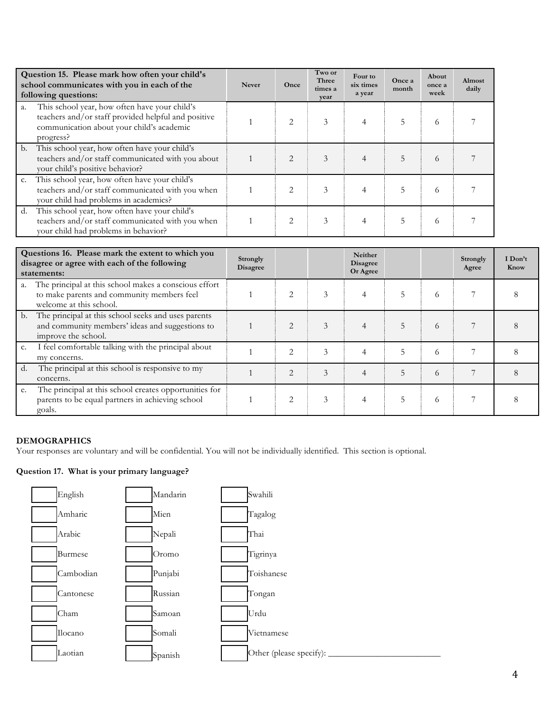|             | Question 15. Please mark how often your child's<br>school communicates with you in each of the<br>following questions:                                         | <b>Never</b> | Once           | Two or<br>Three<br>times a<br>year | Four to<br>six times<br>a year | Once a<br>month | About<br>once a<br>week | Almost<br>daily |
|-------------|----------------------------------------------------------------------------------------------------------------------------------------------------------------|--------------|----------------|------------------------------------|--------------------------------|-----------------|-------------------------|-----------------|
| a.          | This school year, how often have your child's<br>teachers and/or staff provided helpful and positive<br>communication about your child's academic<br>progress? |              | $\mathfrak{D}$ | 3                                  | 4                              | 5               | 6                       |                 |
| b.          | This school year, how often have your child's<br>teachers and/or staff communicated with you about<br>your child's positive behavior?                          |              | 2              | 3                                  | 4                              | 5               | 6                       |                 |
| $C_{\star}$ | This school year, how often have your child's<br>teachers and/or staff communicated with you when<br>your child had problems in academics?                     |              | 2              | 3                                  | 4                              | 5               | 6                       |                 |
| d.          | This school year, how often have your child's<br>teachers and/or staff communicated with you when<br>your child had problems in behavior?                      |              | 2              | 3                                  | 4                              |                 | 6                       |                 |

|    | Questions 16. Please mark the extent to which you<br>disagree or agree with each of the following<br>statements:               | Strongly<br><b>Disagree</b> |                |               | Neither<br><b>Disagree</b><br>Or Agree |   |          | Strongly<br>Agree | I Don't<br>Know |
|----|--------------------------------------------------------------------------------------------------------------------------------|-----------------------------|----------------|---------------|----------------------------------------|---|----------|-------------------|-----------------|
|    | The principal at this school makes a conscious effort<br>to make parents and community members feel<br>welcome at this school. |                             |                | 3             |                                        |   | $^{(1)}$ |                   |                 |
| b. | The principal at this school seeks and uses parents<br>and community members' ideas and suggestions to<br>improve the school.  |                             |                | 3             |                                        | 5 | 6        |                   |                 |
| c. | I feel comfortable talking with the principal about<br>my concerns.                                                            |                             | 2              | $\mathcal{Z}$ |                                        |   | 6        |                   |                 |
| d. | The principal at this school is responsive to my<br>concerns.                                                                  |                             | $\overline{2}$ | 3             | 4                                      | 5 | $^{(1)}$ |                   |                 |
| e. | The principal at this school creates opportunities for<br>parents to be equal partners in achieving school<br>goals.           |                             | 2              | 3             |                                        | ר | $\Omega$ |                   |                 |

# **DEMOGRAPHICS**

Your responses are voluntary and will be confidential. You will not be individually identified. This section is optional.

# **Question 17. What is your primary language?**

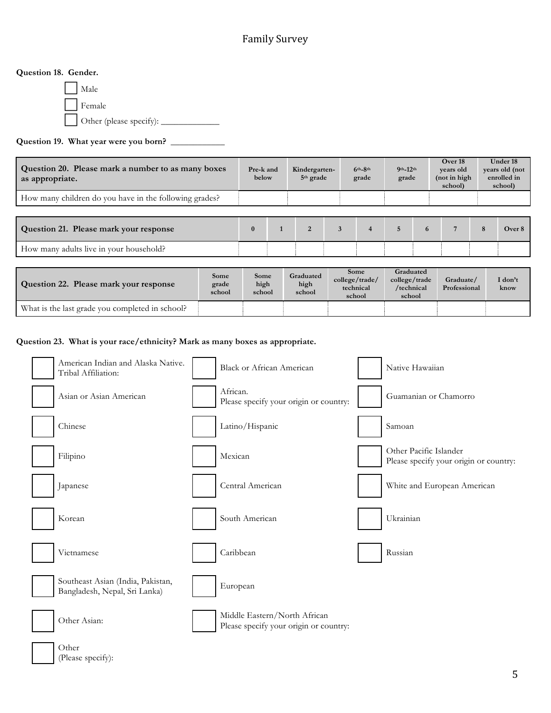## **Question 18. Gender.**

! Male Female ! Other (please specify): \_\_\_\_\_\_\_\_\_\_\_\_\_

## **Question 19. What year were you born?** \_\_\_\_\_\_\_\_\_\_\_\_

| Question 20. Please mark a number to as many boxes<br>as appropriate. |                         | Pre-k and<br>below     |              | Kindergarten-<br>5 <sup>th</sup> grade |   | $6th-8th$<br>grade                            |  | $9th - 12th$<br>grade                              |   | Over 18<br>years old<br>(not in high<br>school) |   | <b>Under 18</b><br>years old (not<br>enrolled in<br>school) |  |
|-----------------------------------------------------------------------|-------------------------|------------------------|--------------|----------------------------------------|---|-----------------------------------------------|--|----------------------------------------------------|---|-------------------------------------------------|---|-------------------------------------------------------------|--|
| How many children do you have in the following grades?                |                         |                        |              |                                        |   |                                               |  |                                                    |   |                                                 |   |                                                             |  |
|                                                                       |                         |                        |              |                                        |   |                                               |  |                                                    |   |                                                 |   |                                                             |  |
| Question 21. Please mark your response                                |                         | $\mathbf{0}$           | $\mathbf{1}$ | $\overline{2}$                         | 3 | $\overline{4}$                                |  | $\overline{5}$                                     | 6 | 7                                               | 8 | Over 8                                                      |  |
| How many adults live in your household?                               |                         |                        |              |                                        |   |                                               |  |                                                    |   |                                                 |   |                                                             |  |
|                                                                       |                         |                        |              |                                        |   |                                               |  |                                                    |   |                                                 |   |                                                             |  |
| Question 22. Please mark your response                                | Some<br>grade<br>school | Some<br>high<br>school |              | Graduated<br>high<br>school            |   | Some<br>college/trade/<br>technical<br>school |  | Graduated<br>college/trade<br>/technical<br>school |   | Graduate/<br>Professional                       |   | I don't<br>know                                             |  |
| What is the last grade you completed in school?                       |                         |                        |              |                                        |   |                                               |  |                                                    |   |                                                 |   |                                                             |  |

**Question 23. What is your race/ethnicity? Mark as many boxes as appropriate.**



|  | (Please specify): |  |
|--|-------------------|--|